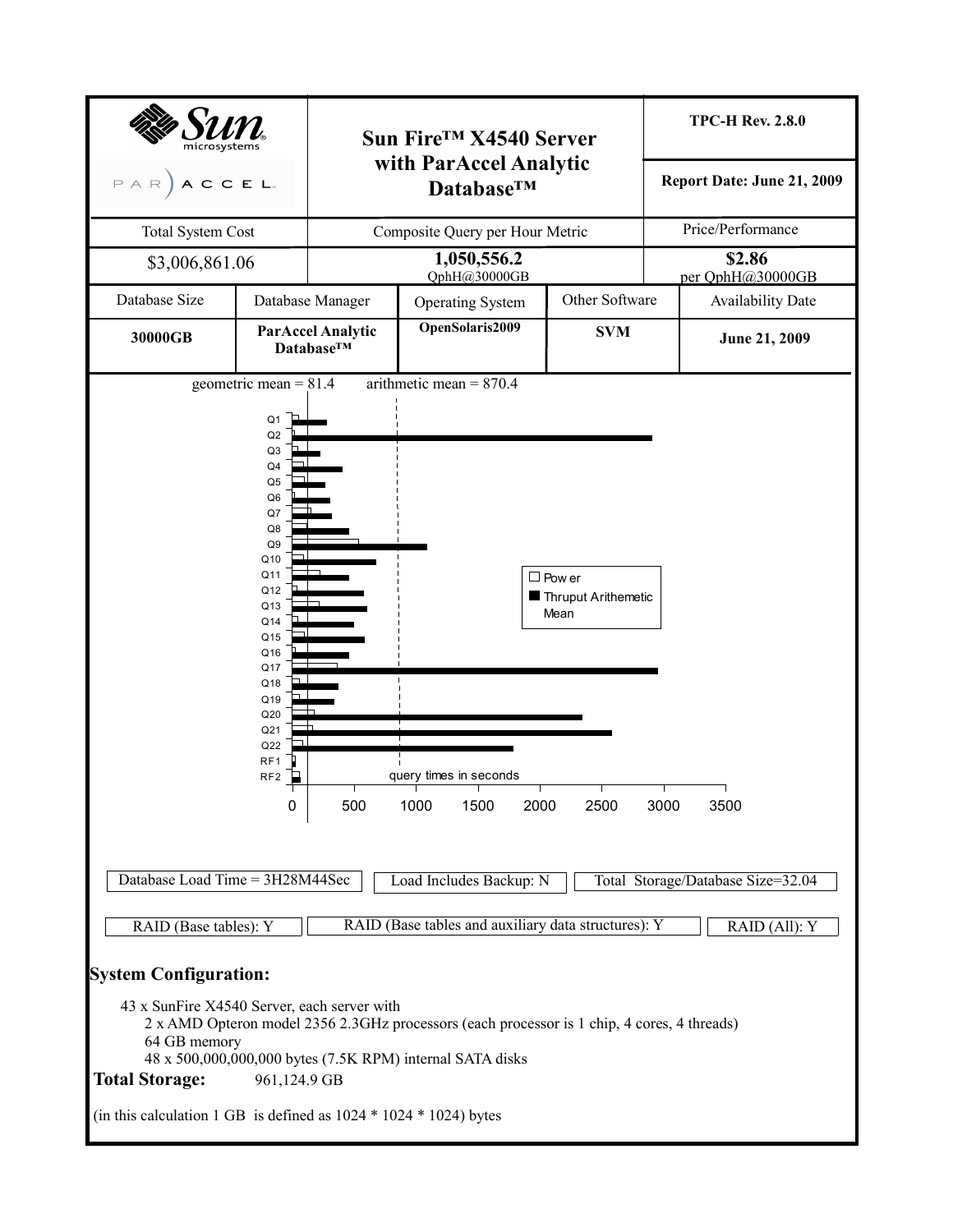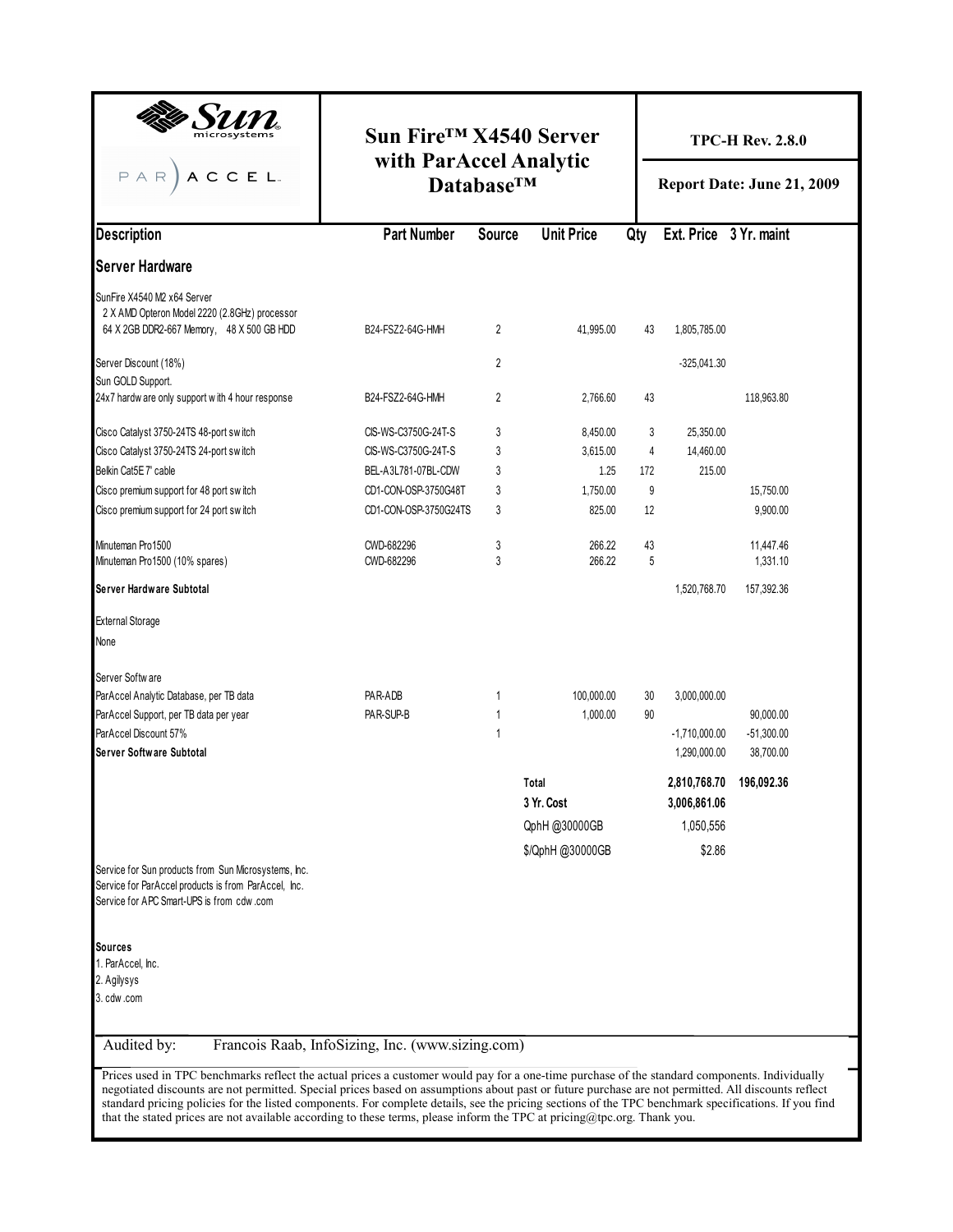|                                                                                                                                                                                                                                                                                                     | Sun Fire <sup>™</sup> X4540 Server<br>with ParAccel Analytic |                   |                     | <b>TPC-H Rev. 2.8.0</b><br>Report Date: June 21, 2009 |                        |                         |  |  |
|-----------------------------------------------------------------------------------------------------------------------------------------------------------------------------------------------------------------------------------------------------------------------------------------------------|--------------------------------------------------------------|-------------------|---------------------|-------------------------------------------------------|------------------------|-------------------------|--|--|
| $A C C E L.$<br>$P$ A R                                                                                                                                                                                                                                                                             |                                                              | <b>DatabaseTM</b> |                     |                                                       |                        |                         |  |  |
| <b>Description</b>                                                                                                                                                                                                                                                                                  | <b>Part Number</b>                                           | <b>Source</b>     | <b>Unit Price</b>   | Qty                                                   | Ext. Price 3 Yr. maint |                         |  |  |
| <b>Server Hardware</b>                                                                                                                                                                                                                                                                              |                                                              |                   |                     |                                                       |                        |                         |  |  |
| SunFire X4540 M2 x64 Server                                                                                                                                                                                                                                                                         |                                                              |                   |                     |                                                       |                        |                         |  |  |
| 2 X AMD Opteron Model 2220 (2.8GHz) processor<br>64 X 2GB DDR2-667 Memory, 48 X 500 GB HDD                                                                                                                                                                                                          | B24-FSZ2-64G-HMH                                             | 2                 | 41,995.00           | 43                                                    | 1,805,785.00           |                         |  |  |
| Server Discount (18%)<br>Sun GOLD Support.                                                                                                                                                                                                                                                          |                                                              | 2                 |                     |                                                       | $-325,041.30$          |                         |  |  |
| 24x7 hardw are only support with 4 hour response                                                                                                                                                                                                                                                    | B24-FSZ2-64G-HMH                                             | 2                 | 2,766.60            | 43                                                    |                        | 118,963.80              |  |  |
| Cisco Catalyst 3750-24TS 48-port switch                                                                                                                                                                                                                                                             | CIS-WS-C3750G-24T-S                                          | 3                 | 8,450.00            | 3                                                     | 25,350.00              |                         |  |  |
| Cisco Catalyst 3750-24TS 24-port switch                                                                                                                                                                                                                                                             | CIS-WS-C3750G-24T-S                                          | 3                 | 3,615.00            | 4                                                     | 14.460.00              |                         |  |  |
| Belkin Cat5E 7' cable                                                                                                                                                                                                                                                                               | BEL-A3L781-07BL-CDW                                          | 3                 | 1.25                | 172                                                   | 215.00                 |                         |  |  |
| Cisco premium support for 48 port switch                                                                                                                                                                                                                                                            | CD1-CON-OSP-3750G48T                                         | 3                 | 1.750.00            | 9                                                     |                        | 15,750.00               |  |  |
| Cisco premium support for 24 port switch                                                                                                                                                                                                                                                            | CD1-CON-OSP-3750G24TS                                        | 3                 | 825.00              | 12                                                    |                        | 9,900.00                |  |  |
| Minuteman Pro1500<br>Minuteman Pro1500 (10% spares)                                                                                                                                                                                                                                                 | CWD-682296<br>CWD-682296                                     | 3<br>3            | 266.22<br>266.22    | 43<br>5                                               |                        | 11,447.46<br>1,331.10   |  |  |
| Server Hardware Subtotal                                                                                                                                                                                                                                                                            |                                                              |                   |                     |                                                       | 1,520,768.70           | 157,392.36              |  |  |
| <b>External Storage</b>                                                                                                                                                                                                                                                                             |                                                              |                   |                     |                                                       |                        |                         |  |  |
| None                                                                                                                                                                                                                                                                                                |                                                              |                   |                     |                                                       |                        |                         |  |  |
| Server Softw are                                                                                                                                                                                                                                                                                    |                                                              |                   |                     |                                                       |                        |                         |  |  |
| ParAccel Analytic Database, per TB data                                                                                                                                                                                                                                                             | PAR-ADB                                                      | 1                 | 100,000.00          | 30                                                    | 3,000,000.00           |                         |  |  |
| ParAccel Support, per TB data per year                                                                                                                                                                                                                                                              | PAR-SUP-B                                                    | 1                 | 1.000.00            | 90                                                    |                        | 90,000.00               |  |  |
| ParAccel Discount 57%                                                                                                                                                                                                                                                                               |                                                              | 1                 |                     |                                                       | $-1,710,000.00$        | $-51,300.00$            |  |  |
| Server Software Subtotal                                                                                                                                                                                                                                                                            |                                                              |                   |                     |                                                       | 1,290,000.00           | 38,700.00               |  |  |
|                                                                                                                                                                                                                                                                                                     |                                                              |                   | Total<br>3 Yr. Cost |                                                       | 3,006,861.06           | 2,810,768.70 196,092.36 |  |  |
|                                                                                                                                                                                                                                                                                                     |                                                              |                   | QphH @30000GB       |                                                       | 1,050,556              |                         |  |  |
|                                                                                                                                                                                                                                                                                                     |                                                              |                   | \$/QphH @30000GB    |                                                       | \$2.86                 |                         |  |  |
| Service for Sun products from Sun Microsystems, Inc.<br>Service for ParAccel products is from ParAccel, Inc.<br>Service for APC Smart-UPS is from cdw.com                                                                                                                                           |                                                              |                   |                     |                                                       |                        |                         |  |  |
|                                                                                                                                                                                                                                                                                                     |                                                              |                   |                     |                                                       |                        |                         |  |  |
| Sources<br>1. ParAccel, Inc.                                                                                                                                                                                                                                                                        |                                                              |                   |                     |                                                       |                        |                         |  |  |
| 2. Agilysys                                                                                                                                                                                                                                                                                         |                                                              |                   |                     |                                                       |                        |                         |  |  |
| 3. cdw .com                                                                                                                                                                                                                                                                                         |                                                              |                   |                     |                                                       |                        |                         |  |  |
| Audited by:                                                                                                                                                                                                                                                                                         | Francois Raab, InfoSizing, Inc. (www.sizing.com)             |                   |                     |                                                       |                        |                         |  |  |
| Prices used in TPC benchmarks reflect the actual prices a customer would pay for a one-time purchase of the standard components. Individually<br>negotiated discounts are not permitted. Special prices based on assumptions about past or future purchase are not permitted. All discounts reflect |                                                              |                   |                     |                                                       |                        |                         |  |  |

standard pricing policies for the listed components. For complete details, see the pricing sections of the TPC benchmark specifications. If you find

that the stated prices are not available according to these terms, please inform the TPC at pricing@tpc.org. Thank you.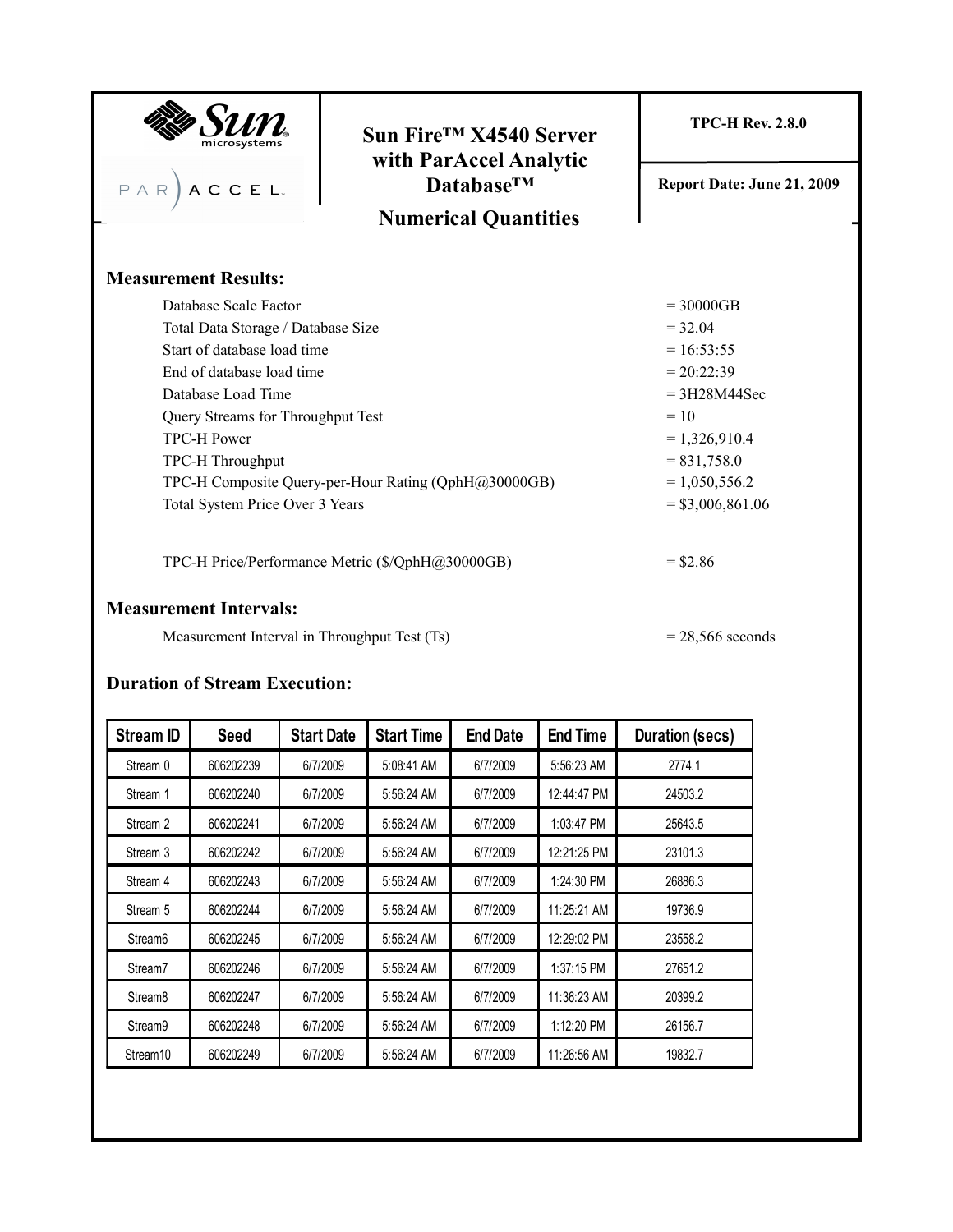|                                              | Sun Fire <sup>™</sup> X4540 Server                   | <b>TPC-H Rev. 2.8.0</b>    |  |  |  |  |  |
|----------------------------------------------|------------------------------------------------------|----------------------------|--|--|--|--|--|
| $P A R$ $A C C E L.$                         | with ParAccel Analytic<br><b>DatabaseTM</b>          | Report Date: June 21, 2009 |  |  |  |  |  |
|                                              | <b>Numerical Quantities</b>                          |                            |  |  |  |  |  |
| <b>Measurement Results:</b>                  |                                                      |                            |  |  |  |  |  |
| Database Scale Factor                        |                                                      | $= 30000GB$                |  |  |  |  |  |
| Total Data Storage / Database Size           |                                                      | $= 32.04$                  |  |  |  |  |  |
| Start of database load time                  |                                                      | $= 16:53:55$               |  |  |  |  |  |
| End of database load time                    |                                                      | $= 20:22:39$               |  |  |  |  |  |
| Database Load Time                           | $= 3H28M44$ Sec                                      |                            |  |  |  |  |  |
| Query Streams for Throughput Test            | $= 10$                                               |                            |  |  |  |  |  |
| <b>TPC-H Power</b>                           | $= 1,326,910.4$                                      |                            |  |  |  |  |  |
| TPC-H Throughput                             |                                                      | $= 831,758.0$              |  |  |  |  |  |
|                                              | TPC-H Composite Query-per-Hour Rating (QphH@30000GB) | $= 1,050,556.2$            |  |  |  |  |  |
| Total System Price Over 3 Years              | $=$ \$3,006,861.06                                   |                            |  |  |  |  |  |
|                                              | TPC-H Price/Performance Metric (\$/QphH@30000GB)     |                            |  |  |  |  |  |
| <b>Measurement Intervals:</b>                |                                                      |                            |  |  |  |  |  |
| Measurement Interval in Throughput Test (Ts) |                                                      | $= 28,566$ seconds         |  |  |  |  |  |

## **Duration of Stream Execution:**

| <b>Stream ID</b>     | <b>Seed</b> | <b>Start Date</b> | <b>Start Time</b> | <b>End Date</b> | <b>End Time</b> | <b>Duration (secs)</b> |  |  |
|----------------------|-------------|-------------------|-------------------|-----------------|-----------------|------------------------|--|--|
| Stream 0             | 606202239   | 6/7/2009          | 5:08:41 AM        | 6/7/2009        | 5:56:23 AM      | 2774.1                 |  |  |
| Stream 1             | 606202240   | 6/7/2009          | 5:56:24 AM        | 6/7/2009        | 12:44:47 PM     | 24503.2                |  |  |
| Stream 2             | 606202241   | 6/7/2009          | 5:56:24 AM        | 6/7/2009        | 1:03:47 PM      | 25643.5                |  |  |
| Stream 3             | 606202242   | 6/7/2009          | 5:56:24 AM        | 6/7/2009        | 12:21:25 PM     | 23101.3                |  |  |
| Stream 4             | 606202243   | 6/7/2009          | 5:56:24 AM        | 6/7/2009        | 1:24:30 PM      | 26886.3                |  |  |
| Stream 5             | 606202244   | 6/7/2009          | 5:56:24 AM        | 6/7/2009        | 11:25:21 AM     | 19736.9                |  |  |
| Stream <sub>6</sub>  | 606202245   | 6/7/2009          | 5:56:24 AM        | 6/7/2009        | 12:29:02 PM     | 23558.2                |  |  |
| Stream7              | 606202246   | 6/7/2009          | 5:56:24 AM        | 6/7/2009        | 1:37:15 PM      | 27651.2                |  |  |
| Stream <sub>8</sub>  | 606202247   | 6/7/2009          | 5:56:24 AM        | 6/7/2009        | 11:36:23 AM     | 20399.2                |  |  |
| Stream9              | 606202248   | 6/7/2009          | 5:56:24 AM        | 6/7/2009        | 1:12:20 PM      | 26156.7                |  |  |
| Stream <sub>10</sub> | 606202249   | 6/7/2009          | 5:56:24 AM        | 6/7/2009        | 11:26:56 AM     | 19832.7                |  |  |